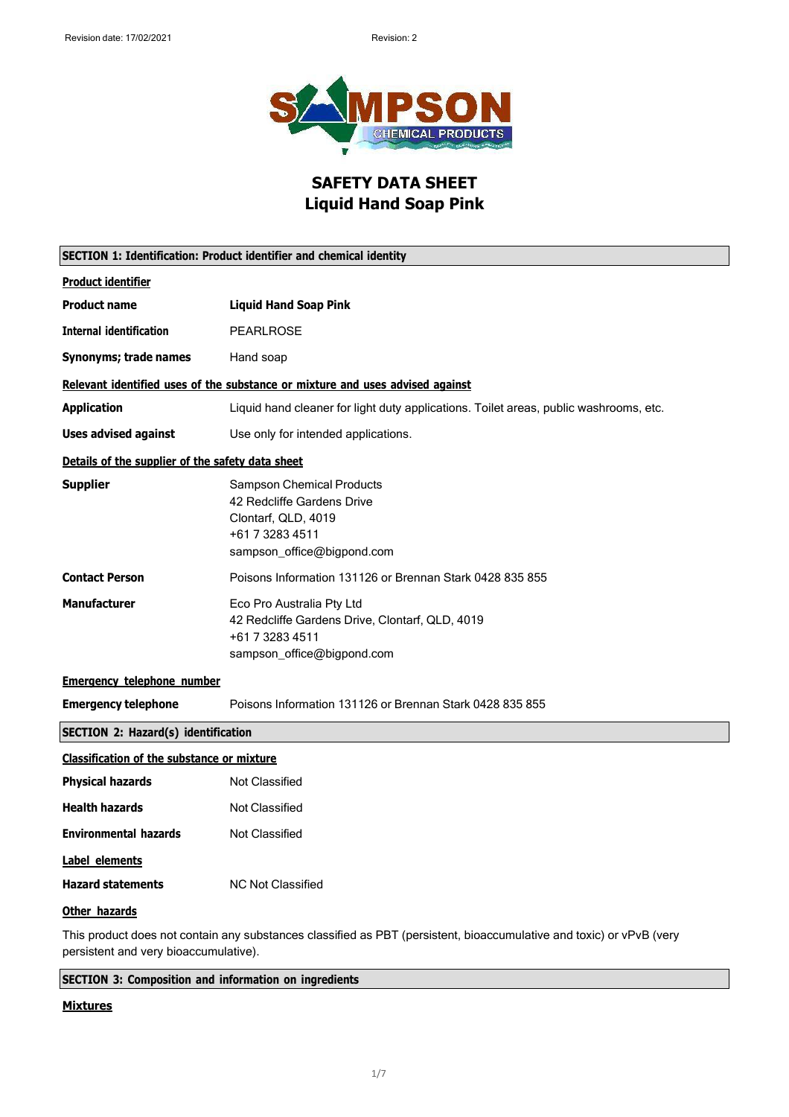

### **SAFETY DATA SHEET Liquid Hand Soap Pink**

| <b>SECTION 1: Identification: Product identifier and chemical identity</b> |                                                                                                                                        |
|----------------------------------------------------------------------------|----------------------------------------------------------------------------------------------------------------------------------------|
| <b>Product identifier</b>                                                  |                                                                                                                                        |
| <b>Product name</b>                                                        | <b>Liquid Hand Soap Pink</b>                                                                                                           |
| <b>Internal identification</b>                                             | <b>PEARLROSE</b>                                                                                                                       |
| Synonyms; trade names                                                      | Hand soap                                                                                                                              |
|                                                                            | Relevant identified uses of the substance or mixture and uses advised against                                                          |
| <b>Application</b>                                                         | Liquid hand cleaner for light duty applications. Toilet areas, public washrooms, etc.                                                  |
| <b>Uses advised against</b>                                                | Use only for intended applications.                                                                                                    |
| Details of the supplier of the safety data sheet                           |                                                                                                                                        |
| <b>Supplier</b>                                                            | <b>Sampson Chemical Products</b><br>42 Redcliffe Gardens Drive<br>Clontarf, QLD, 4019<br>+61 7 3283 4511<br>sampson_office@bigpond.com |
| <b>Contact Person</b>                                                      | Poisons Information 131126 or Brennan Stark 0428 835 855                                                                               |
| <b>Manufacturer</b>                                                        | Eco Pro Australia Pty Ltd<br>42 Redcliffe Gardens Drive, Clontarf, QLD, 4019<br>+61 7 3283 4511<br>sampson_office@bigpond.com          |
| <b>Emergency telephone number</b>                                          |                                                                                                                                        |
| <b>Emergency telephone</b>                                                 | Poisons Information 131126 or Brennan Stark 0428 835 855                                                                               |
| <b>SECTION 2: Hazard(s) identification</b>                                 |                                                                                                                                        |
| <b>Classification of the substance or mixture</b>                          |                                                                                                                                        |
| <b>Physical hazards</b>                                                    | Not Classified                                                                                                                         |
| <b>Health hazards</b>                                                      | <b>Not Classified</b>                                                                                                                  |
| <b>Environmental hazards</b>                                               | <b>Not Classified</b>                                                                                                                  |
| Label elements                                                             |                                                                                                                                        |
| <b>Hazard statements</b>                                                   | <b>NC Not Classified</b>                                                                                                               |
| Other hazards                                                              |                                                                                                                                        |
| persistent and very bioaccumulative).                                      | This product does not contain any substances classified as PBT (persistent, bioaccumulative and toxic) or vPvB (very                   |

**SECTION 3: Composition and information on ingredients**

#### **Mixtures**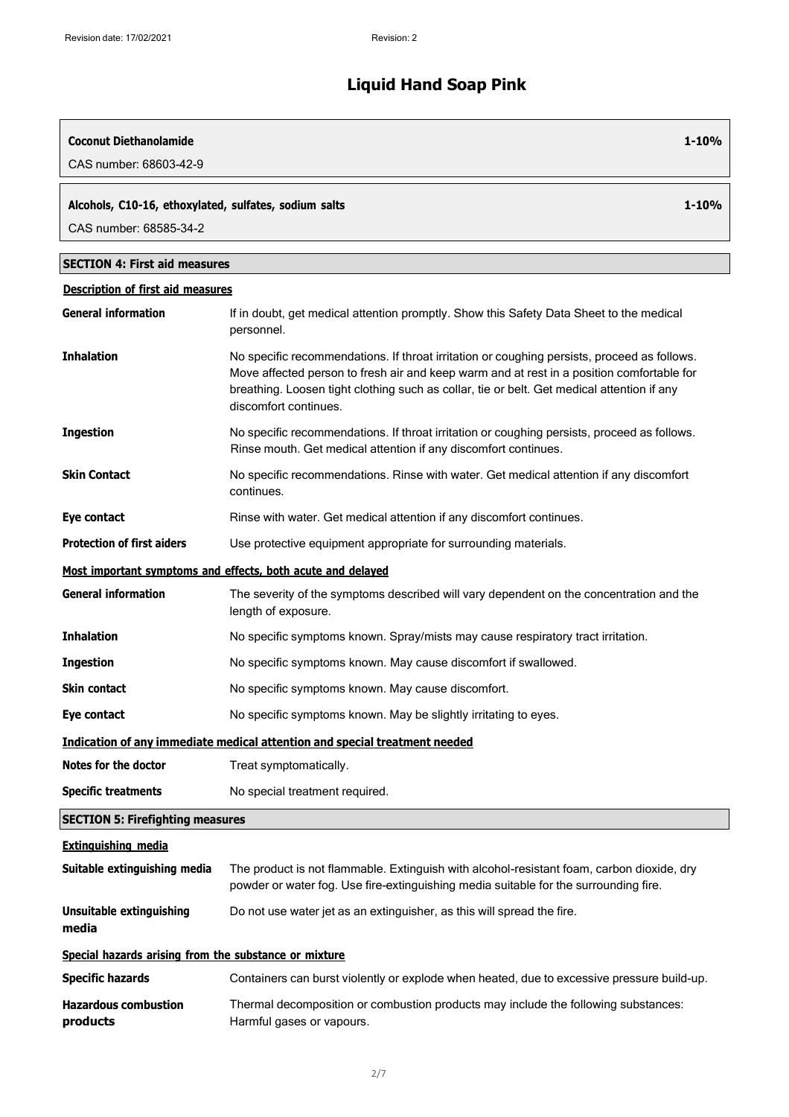| <b>Coconut Diethanolamide</b><br>CAS number: 68603-42-9                         | $1 - 10%$                                                                                                                                                                                                                                                                                                       |
|---------------------------------------------------------------------------------|-----------------------------------------------------------------------------------------------------------------------------------------------------------------------------------------------------------------------------------------------------------------------------------------------------------------|
| Alcohols, C10-16, ethoxylated, sulfates, sodium salts<br>CAS number: 68585-34-2 | $1 - 10%$                                                                                                                                                                                                                                                                                                       |
| <b>SECTION 4: First aid measures</b>                                            |                                                                                                                                                                                                                                                                                                                 |
| <b>Description of first aid measures</b>                                        |                                                                                                                                                                                                                                                                                                                 |
| <b>General information</b>                                                      | If in doubt, get medical attention promptly. Show this Safety Data Sheet to the medical<br>personnel.                                                                                                                                                                                                           |
| <b>Inhalation</b>                                                               | No specific recommendations. If throat irritation or coughing persists, proceed as follows.<br>Move affected person to fresh air and keep warm and at rest in a position comfortable for<br>breathing. Loosen tight clothing such as collar, tie or belt. Get medical attention if any<br>discomfort continues. |
| <b>Ingestion</b>                                                                | No specific recommendations. If throat irritation or coughing persists, proceed as follows.<br>Rinse mouth. Get medical attention if any discomfort continues.                                                                                                                                                  |
| <b>Skin Contact</b>                                                             | No specific recommendations. Rinse with water. Get medical attention if any discomfort<br>continues.                                                                                                                                                                                                            |
| Eye contact                                                                     | Rinse with water. Get medical attention if any discomfort continues.                                                                                                                                                                                                                                            |
| <b>Protection of first aiders</b>                                               | Use protective equipment appropriate for surrounding materials.                                                                                                                                                                                                                                                 |
|                                                                                 | Most important symptoms and effects, both acute and delayed                                                                                                                                                                                                                                                     |
| <b>General information</b>                                                      | The severity of the symptoms described will vary dependent on the concentration and the<br>length of exposure.                                                                                                                                                                                                  |
| <b>Inhalation</b>                                                               | No specific symptoms known. Spray/mists may cause respiratory tract irritation.                                                                                                                                                                                                                                 |
| <b>Ingestion</b>                                                                | No specific symptoms known. May cause discomfort if swallowed.                                                                                                                                                                                                                                                  |
| <b>Skin contact</b>                                                             | No specific symptoms known. May cause discomfort.                                                                                                                                                                                                                                                               |
| Eye contact                                                                     | No specific symptoms known. May be slightly irritating to eyes.                                                                                                                                                                                                                                                 |
|                                                                                 | Indication of any immediate medical attention and special treatment needed                                                                                                                                                                                                                                      |
| <b>Notes for the doctor</b>                                                     | Treat symptomatically.                                                                                                                                                                                                                                                                                          |
| <b>Specific treatments</b>                                                      | No special treatment required.                                                                                                                                                                                                                                                                                  |
| <b>SECTION 5: Firefighting measures</b>                                         |                                                                                                                                                                                                                                                                                                                 |
| <b>Extinguishing media</b>                                                      |                                                                                                                                                                                                                                                                                                                 |
| Suitable extinguishing media                                                    | The product is not flammable. Extinguish with alcohol-resistant foam, carbon dioxide, dry<br>powder or water fog. Use fire-extinguishing media suitable for the surrounding fire.                                                                                                                               |
| <b>Unsuitable extinguishing</b><br>media                                        | Do not use water jet as an extinguisher, as this will spread the fire.                                                                                                                                                                                                                                          |
| Special hazards arising from the substance or mixture                           |                                                                                                                                                                                                                                                                                                                 |
| <b>Specific hazards</b>                                                         | Containers can burst violently or explode when heated, due to excessive pressure build-up.                                                                                                                                                                                                                      |
| <b>Hazardous combustion</b><br>products                                         | Thermal decomposition or combustion products may include the following substances:<br>Harmful gases or vapours.                                                                                                                                                                                                 |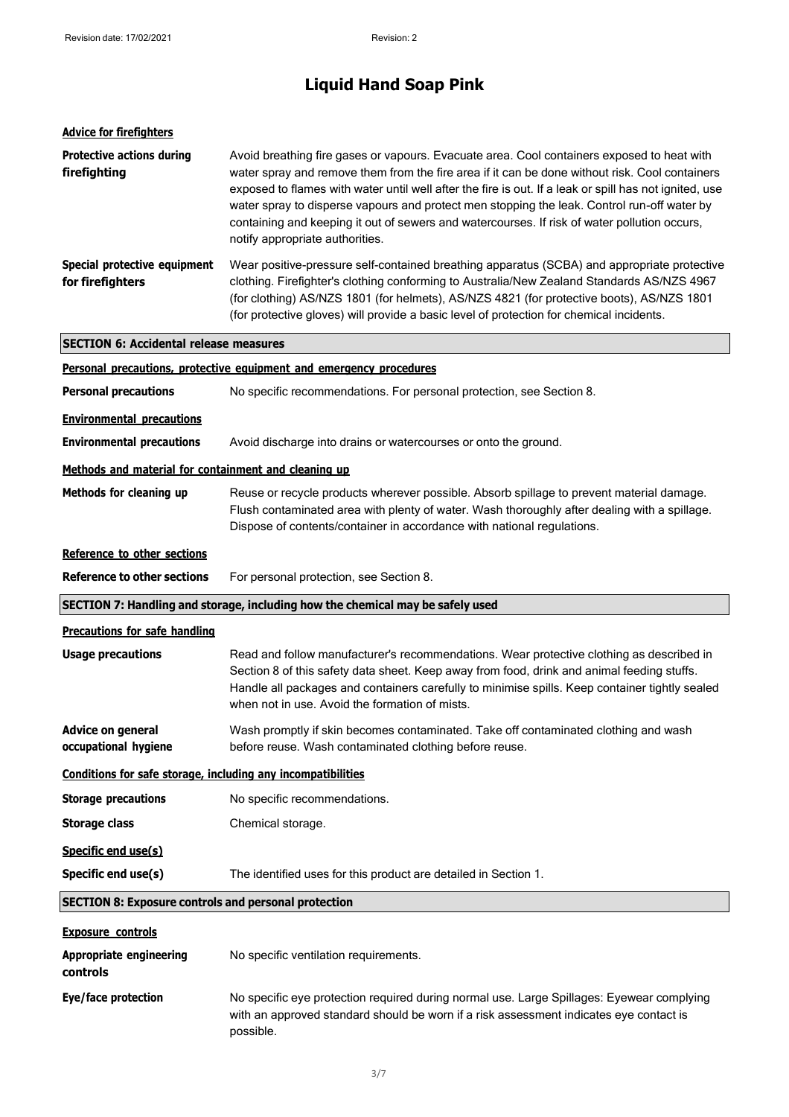| <b>Advice for firefighters</b>                                                 |                                                                                                                                                                                                                                                                                                                                                                                                                                                                                                                                          |
|--------------------------------------------------------------------------------|------------------------------------------------------------------------------------------------------------------------------------------------------------------------------------------------------------------------------------------------------------------------------------------------------------------------------------------------------------------------------------------------------------------------------------------------------------------------------------------------------------------------------------------|
| <b>Protective actions during</b><br>firefighting                               | Avoid breathing fire gases or vapours. Evacuate area. Cool containers exposed to heat with<br>water spray and remove them from the fire area if it can be done without risk. Cool containers<br>exposed to flames with water until well after the fire is out. If a leak or spill has not ignited, use<br>water spray to disperse vapours and protect men stopping the leak. Control run-off water by<br>containing and keeping it out of sewers and watercourses. If risk of water pollution occurs,<br>notify appropriate authorities. |
| Special protective equipment<br>for firefighters                               | Wear positive-pressure self-contained breathing apparatus (SCBA) and appropriate protective<br>clothing. Firefighter's clothing conforming to Australia/New Zealand Standards AS/NZS 4967<br>(for clothing) AS/NZS 1801 (for helmets), AS/NZS 4821 (for protective boots), AS/NZS 1801<br>(for protective gloves) will provide a basic level of protection for chemical incidents.                                                                                                                                                       |
| <b>SECTION 6: Accidental release measures</b>                                  |                                                                                                                                                                                                                                                                                                                                                                                                                                                                                                                                          |
|                                                                                | Personal precautions, protective equipment and emergency procedures                                                                                                                                                                                                                                                                                                                                                                                                                                                                      |
| <b>Personal precautions</b>                                                    | No specific recommendations. For personal protection, see Section 8.                                                                                                                                                                                                                                                                                                                                                                                                                                                                     |
| <b>Environmental precautions</b>                                               |                                                                                                                                                                                                                                                                                                                                                                                                                                                                                                                                          |
| <b>Environmental precautions</b>                                               | Avoid discharge into drains or watercourses or onto the ground.                                                                                                                                                                                                                                                                                                                                                                                                                                                                          |
| Methods and material for containment and cleaning up                           |                                                                                                                                                                                                                                                                                                                                                                                                                                                                                                                                          |
| Methods for cleaning up                                                        | Reuse or recycle products wherever possible. Absorb spillage to prevent material damage.<br>Flush contaminated area with plenty of water. Wash thoroughly after dealing with a spillage.<br>Dispose of contents/container in accordance with national regulations.                                                                                                                                                                                                                                                                       |
| Reference to other sections                                                    |                                                                                                                                                                                                                                                                                                                                                                                                                                                                                                                                          |
| <b>Reference to other sections</b>                                             | For personal protection, see Section 8.                                                                                                                                                                                                                                                                                                                                                                                                                                                                                                  |
| SECTION 7: Handling and storage, including how the chemical may be safely used |                                                                                                                                                                                                                                                                                                                                                                                                                                                                                                                                          |
| <b>Precautions for safe handling</b>                                           |                                                                                                                                                                                                                                                                                                                                                                                                                                                                                                                                          |
| <b>Usage precautions</b>                                                       | Read and follow manufacturer's recommendations. Wear protective clothing as described in<br>Section 8 of this safety data sheet. Keep away from food, drink and animal feeding stuffs.<br>Handle all packages and containers carefully to minimise spills. Keep container tightly sealed<br>when not in use. Avoid the formation of mists.                                                                                                                                                                                               |

**Advice on general occupational hygiene** Wash promptly if skin becomes contaminated. Take off contaminated clothing and wash before reuse. Wash contaminated clothing before reuse.

**Conditions for safe storage, including any incompatibilities**

| <b>Storage precautions</b> | No specific recommendations. |
|----------------------------|------------------------------|
| Storage class              | Chemical storage.            |
| Specific end use(s)        |                              |

**Specific end use(s)** The identified uses for this product are detailed in Section 1.

**SECTION 8: Exposure controls and personal protection**

| <b>Exposure controls</b>            |                                                                                                                                                                                                  |
|-------------------------------------|--------------------------------------------------------------------------------------------------------------------------------------------------------------------------------------------------|
| Appropriate engineering<br>controls | No specific ventilation requirements.                                                                                                                                                            |
| Eye/face protection                 | No specific eye protection required during normal use. Large Spillages: Eyewear complying<br>with an approved standard should be worn if a risk assessment indicates eye contact is<br>possible. |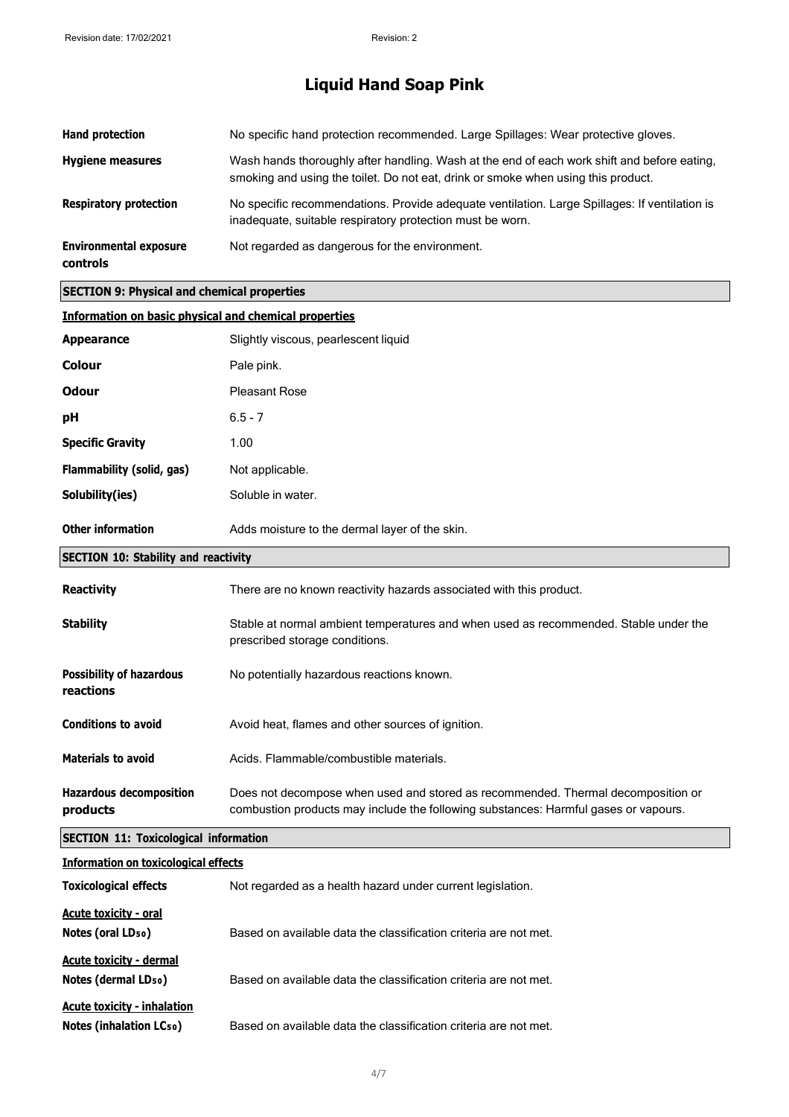| Hand protection                                  | No specific hand protection recommended. Large Spillages: Wear protective gloves.                                                                                                |
|--------------------------------------------------|----------------------------------------------------------------------------------------------------------------------------------------------------------------------------------|
| <b>Hygiene measures</b>                          | Wash hands thoroughly after handling. Wash at the end of each work shift and before eating.<br>smoking and using the toilet. Do not eat, drink or smoke when using this product. |
| <b>Respiratory protection</b>                    | No specific recommendations. Provide adequate ventilation. Large Spillages: If ventilation is<br>inadequate, suitable respiratory protection must be worn.                       |
| <b>Environmental exposure</b><br><b>controls</b> | Not regarded as dangerous for the environment.                                                                                                                                   |

### **SECTION 9: Physical and chemical properties**

| <b>Information on basic physical and chemical properties</b>         |                                                                                                                                                                         |
|----------------------------------------------------------------------|-------------------------------------------------------------------------------------------------------------------------------------------------------------------------|
| <b>Appearance</b>                                                    | Slightly viscous, pearlescent liquid                                                                                                                                    |
| <b>Colour</b>                                                        | Pale pink.                                                                                                                                                              |
| <b>Odour</b>                                                         | <b>Pleasant Rose</b>                                                                                                                                                    |
| рH                                                                   | $6.5 - 7$                                                                                                                                                               |
| <b>Specific Gravity</b>                                              | 1.00                                                                                                                                                                    |
| Flammability (solid, gas)                                            | Not applicable.                                                                                                                                                         |
| Solubility(ies)                                                      | Soluble in water.                                                                                                                                                       |
| <b>Other information</b>                                             | Adds moisture to the dermal layer of the skin.                                                                                                                          |
| <b>SECTION 10: Stability and reactivity</b>                          |                                                                                                                                                                         |
| <b>Reactivity</b>                                                    | There are no known reactivity hazards associated with this product.                                                                                                     |
| <b>Stability</b>                                                     | Stable at normal ambient temperatures and when used as recommended. Stable under the<br>prescribed storage conditions.                                                  |
| <b>Possibility of hazardous</b><br>reactions                         | No potentially hazardous reactions known.                                                                                                                               |
| <b>Conditions to avoid</b>                                           | Avoid heat, flames and other sources of ignition.                                                                                                                       |
| <b>Materials to avoid</b>                                            | Acids. Flammable/combustible materials.                                                                                                                                 |
| <b>Hazardous decomposition</b><br>products                           | Does not decompose when used and stored as recommended. Thermal decomposition or<br>combustion products may include the following substances: Harmful gases or vapours. |
| <b>SECTION 11: Toxicological information</b>                         |                                                                                                                                                                         |
| <b>Information on toxicological effects</b>                          |                                                                                                                                                                         |
| <b>Toxicological effects</b>                                         | Not regarded as a health hazard under current legislation.                                                                                                              |
| <b>Acute toxicity - oral</b><br>Notes (oral LD <sub>50</sub> )       | Based on available data the classification criteria are not met.                                                                                                        |
| <b>Acute toxicity - dermal</b><br>Notes (dermal LD <sub>50</sub> )   | Based on available data the classification criteria are not met.                                                                                                        |
| <b>Acute toxicity - inhalation</b><br><b>Notes (inhalation LCso)</b> | Based on available data the classification criteria are not met.                                                                                                        |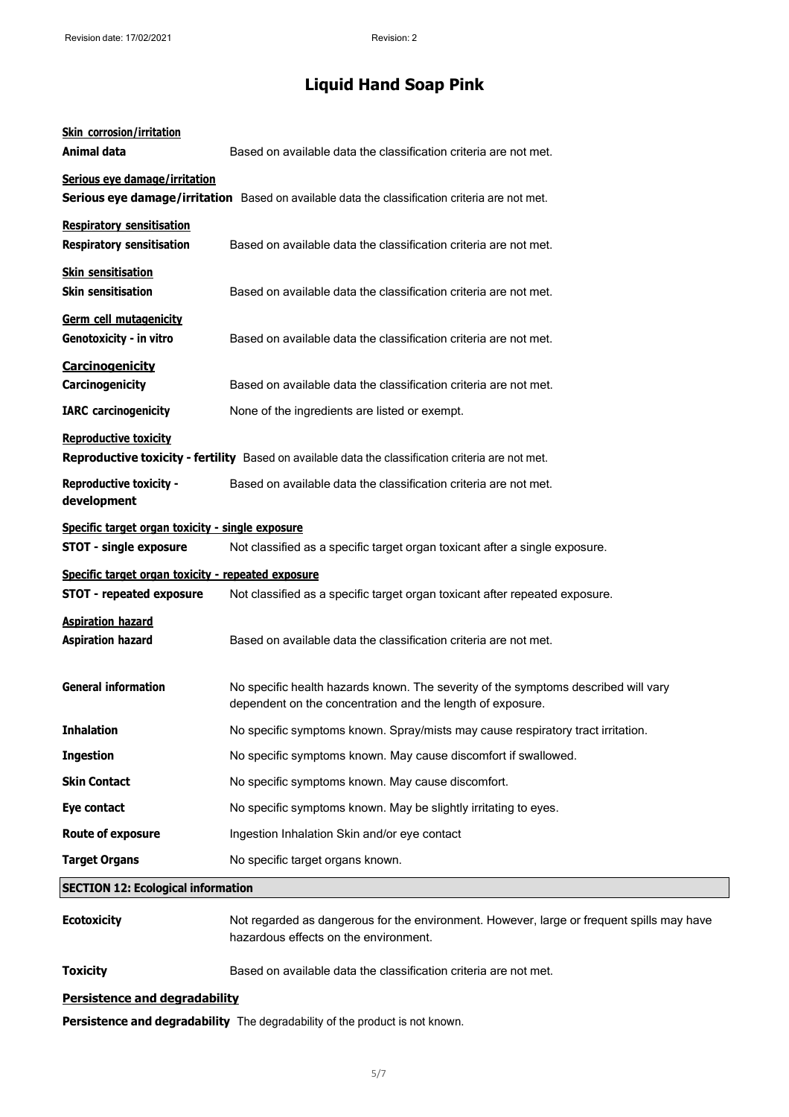| <b>Skin corrosion/irritation</b><br>Animal data                                       | Based on available data the classification criteria are not met.                                                                                 |
|---------------------------------------------------------------------------------------|--------------------------------------------------------------------------------------------------------------------------------------------------|
| Serious eye damage/irritation                                                         | Serious eye damage/irritation Based on available data the classification criteria are not met.                                                   |
| <b>Respiratory sensitisation</b><br><b>Respiratory sensitisation</b>                  | Based on available data the classification criteria are not met.                                                                                 |
| <b>Skin sensitisation</b><br><b>Skin sensitisation</b>                                | Based on available data the classification criteria are not met.                                                                                 |
| Germ cell mutagenicity<br>Genotoxicity - in vitro                                     | Based on available data the classification criteria are not met.                                                                                 |
| <b>Carcinogenicity</b><br>Carcinogenicity                                             | Based on available data the classification criteria are not met.                                                                                 |
| <b>IARC</b> carcinogenicity                                                           | None of the ingredients are listed or exempt.                                                                                                    |
| <b>Reproductive toxicity</b>                                                          | Reproductive toxicity - fertility Based on available data the classification criteria are not met.                                               |
| <b>Reproductive toxicity -</b><br>development                                         | Based on available data the classification criteria are not met.                                                                                 |
| Specific target organ toxicity - single exposure<br><b>STOT - single exposure</b>     | Not classified as a specific target organ toxicant after a single exposure.                                                                      |
| Specific target organ toxicity - repeated exposure<br><b>STOT - repeated exposure</b> | Not classified as a specific target organ toxicant after repeated exposure.                                                                      |
| <b>Aspiration hazard</b><br><b>Aspiration hazard</b>                                  | Based on available data the classification criteria are not met.                                                                                 |
| <b>General information</b>                                                            | No specific health hazards known. The severity of the symptoms described will vary<br>dependent on the concentration and the length of exposure. |
| <b>Inhalation</b>                                                                     | No specific symptoms known. Spray/mists may cause respiratory tract irritation.                                                                  |
| <b>Ingestion</b>                                                                      | No specific symptoms known. May cause discomfort if swallowed.                                                                                   |
| <b>Skin Contact</b>                                                                   | No specific symptoms known. May cause discomfort.                                                                                                |
| Eye contact                                                                           | No specific symptoms known. May be slightly irritating to eyes.                                                                                  |
| <b>Route of exposure</b>                                                              | Ingestion Inhalation Skin and/or eye contact                                                                                                     |
| <b>Target Organs</b>                                                                  | No specific target organs known.                                                                                                                 |
| <b>SECTION 12: Ecological information</b>                                             |                                                                                                                                                  |
| <b>Ecotoxicity</b>                                                                    | Not regarded as dangerous for the environment. However, large or frequent spills may have<br>hazardous effects on the environment.               |
| <b>Toxicity</b>                                                                       | Based on available data the classification criteria are not met.                                                                                 |

#### **Persistence and degradability**

**Persistence and degradability** The degradability of the product is not known.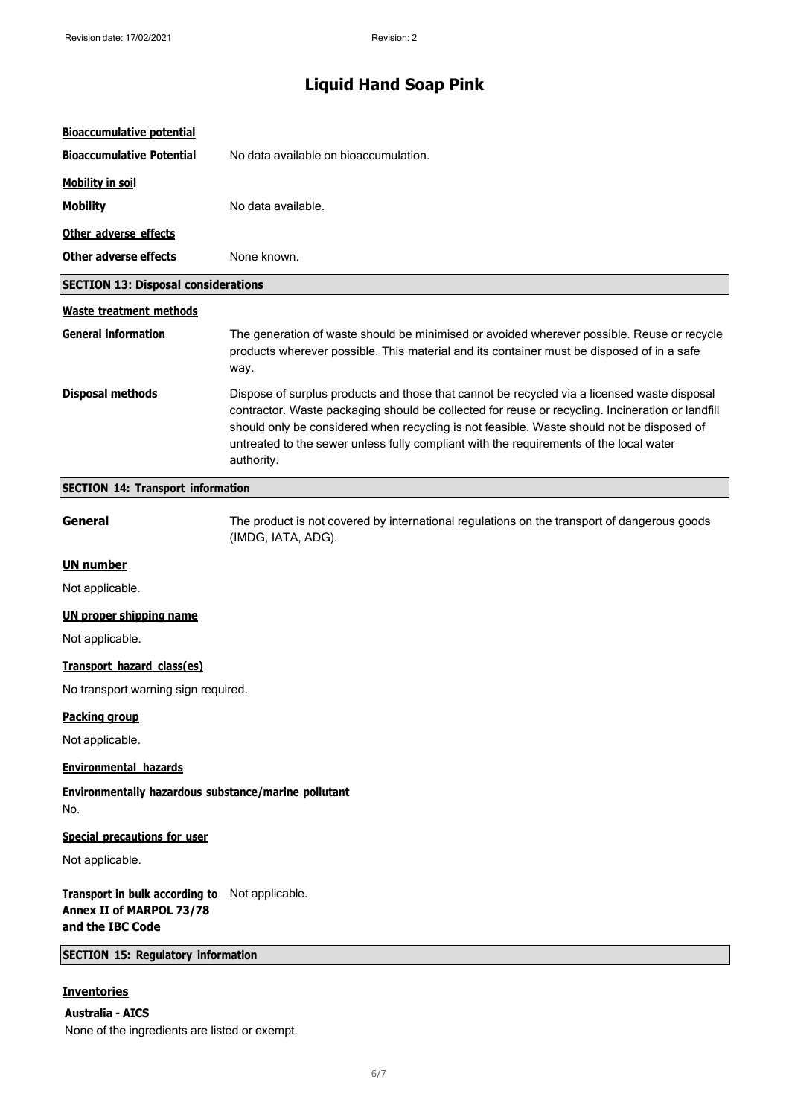| <b>Bioaccumulative potential</b>                                                               |                                                                                                                                                                                                                                                                                                                                                                                                      |
|------------------------------------------------------------------------------------------------|------------------------------------------------------------------------------------------------------------------------------------------------------------------------------------------------------------------------------------------------------------------------------------------------------------------------------------------------------------------------------------------------------|
| <b>Bioaccumulative Potential</b>                                                               | No data available on bioaccumulation.                                                                                                                                                                                                                                                                                                                                                                |
| <b>Mobility in soil</b>                                                                        |                                                                                                                                                                                                                                                                                                                                                                                                      |
| <b>Mobility</b>                                                                                | No data available.                                                                                                                                                                                                                                                                                                                                                                                   |
| Other adverse effects                                                                          |                                                                                                                                                                                                                                                                                                                                                                                                      |
| <b>Other adverse effects</b>                                                                   | None known.                                                                                                                                                                                                                                                                                                                                                                                          |
| <b>SECTION 13: Disposal considerations</b>                                                     |                                                                                                                                                                                                                                                                                                                                                                                                      |
| <b>Waste treatment methods</b>                                                                 |                                                                                                                                                                                                                                                                                                                                                                                                      |
| <b>General information</b>                                                                     | The generation of waste should be minimised or avoided wherever possible. Reuse or recycle<br>products wherever possible. This material and its container must be disposed of in a safe<br>way.                                                                                                                                                                                                      |
| <b>Disposal methods</b>                                                                        | Dispose of surplus products and those that cannot be recycled via a licensed waste disposal<br>contractor. Waste packaging should be collected for reuse or recycling. Incineration or landfill<br>should only be considered when recycling is not feasible. Waste should not be disposed of<br>untreated to the sewer unless fully compliant with the requirements of the local water<br>authority. |
| <b>SECTION 14: Transport information</b>                                                       |                                                                                                                                                                                                                                                                                                                                                                                                      |
| General                                                                                        | The product is not covered by international regulations on the transport of dangerous goods<br>(IMDG, IATA, ADG).                                                                                                                                                                                                                                                                                    |
| <b>UN number</b>                                                                               |                                                                                                                                                                                                                                                                                                                                                                                                      |
| Not applicable.                                                                                |                                                                                                                                                                                                                                                                                                                                                                                                      |
| <b>UN proper shipping name</b>                                                                 |                                                                                                                                                                                                                                                                                                                                                                                                      |
| Not applicable.                                                                                |                                                                                                                                                                                                                                                                                                                                                                                                      |
| Transport hazard class(es)                                                                     |                                                                                                                                                                                                                                                                                                                                                                                                      |
| No transport warning sign required.                                                            |                                                                                                                                                                                                                                                                                                                                                                                                      |
| <b>Packing group</b>                                                                           |                                                                                                                                                                                                                                                                                                                                                                                                      |
| Not applicable.                                                                                |                                                                                                                                                                                                                                                                                                                                                                                                      |
| <b>Environmental hazards</b>                                                                   |                                                                                                                                                                                                                                                                                                                                                                                                      |
| Environmentally hazardous substance/marine pollutant<br>No.                                    |                                                                                                                                                                                                                                                                                                                                                                                                      |
| <b>Special precautions for user</b>                                                            |                                                                                                                                                                                                                                                                                                                                                                                                      |
| Not applicable.                                                                                |                                                                                                                                                                                                                                                                                                                                                                                                      |
| Transport in bulk according to Not applicable.<br>Annex II of MARPOL 73/78<br>and the IBC Code |                                                                                                                                                                                                                                                                                                                                                                                                      |
| <b>SECTION 15: Regulatory information</b>                                                      |                                                                                                                                                                                                                                                                                                                                                                                                      |
| <b>Inventories</b>                                                                             |                                                                                                                                                                                                                                                                                                                                                                                                      |

**Australia - AICS** None of the ingredients are listed or exempt.